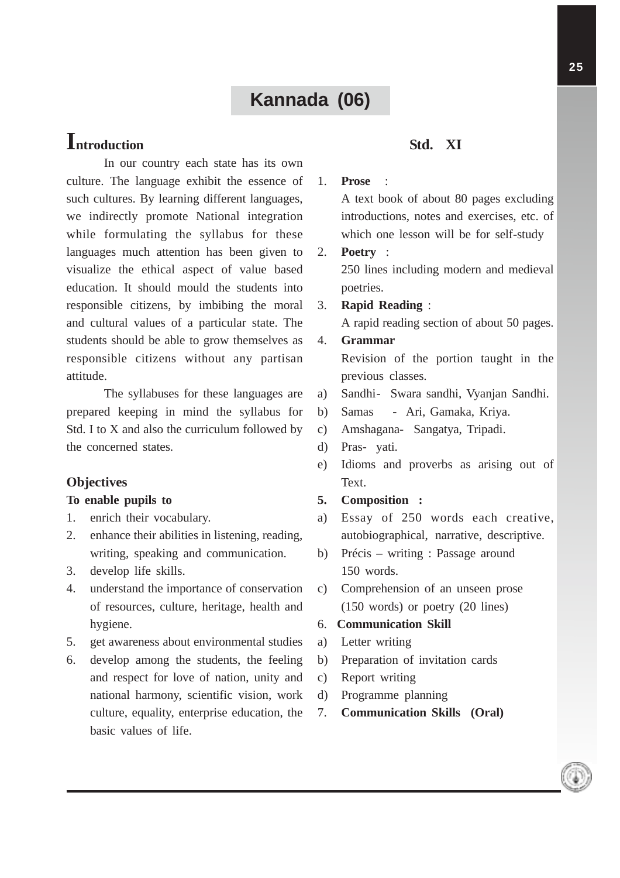# **Kannada (06)**

# **Introduction**

In our country each state has its own culture. The language exhibit the essence of such cultures. By learning different languages, we indirectly promote National integration while formulating the syllabus for these languages much attention has been given to visualize the ethical aspect of value based education. It should mould the students into responsible citizens, by imbibing the moral and cultural values of a particular state. The students should be able to grow themselves as responsible citizens without any partisan attitude.

The syllabuses for these languages are prepared keeping in mind the syllabus for Std. I to X and also the curriculum followed by the concerned states.

# **Objectives**

#### **To enable pupils to**

- 1. enrich their vocabulary.
- 2. enhance their abilities in listening, reading, writing, speaking and communication.
- 3. develop life skills.
- 4. understand the importance of conservation of resources, culture, heritage, health and hygiene.
- 5. get awareness about environmental studies
- 6. develop among the students, the feeling and respect for love of nation, unity and national harmony, scientific vision, work culture, equality, enterprise education, the basic values of life.

### **Std. XI**

#### 1. **Prose** :

A text book of about 80 pages excluding introductions, notes and exercises, etc. of which one lesson will be for self-study

- 2. **Poetry** : 250 lines including modern and medieval poetries.
- 3. **Rapid Reading** : A rapid reading section of about 50 pages.

# 4. **Grammar**

Revision of the portion taught in the previous classes.

- a) Sandhi- Swara sandhi, Vyanjan Sandhi.
- b) Samas Ari, Gamaka, Kriya.
- c) Amshagana- Sangatya, Tripadi.
- d) Pras- yati.
- e) Idioms and proverbs as arising out of Text.

#### **5. Composition :**

- a) Essay of 250 words each creative, autobiographical, narrative, descriptive.
- b) Précis writing : Passage around 150 words.
- c) Comprehension of an unseen prose (150 words) or poetry (20 lines)

#### 6. **Communication Skill**

- a) Letter writing
- b) Preparation of invitation cards
- c) Report writing
- d) Programme planning
- 7. **Communication Skills (Oral)**